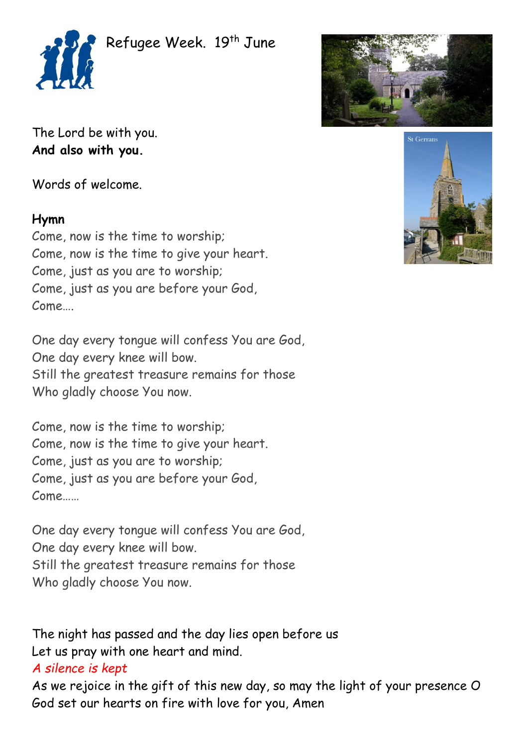



The Lord be with you. **And also with you.** 

Words of welcome.

#### **Hymn**

Come, now is the time to worship; Come, now is the time to give your heart. Come, just as you are to worship; Come, just as you are before your God, Come….

One day every tongue will confess You are God, One day every knee will bow. Still the greatest treasure remains for those Who gladly choose You now.

Come, now is the time to worship; Come, now is the time to give your heart. Come, just as you are to worship; Come, just as you are before your God, Come……

One day every tongue will confess You are God, One day every knee will bow. Still the greatest treasure remains for those Who gladly choose You now.

The night has passed and the day lies open before us Let us pray with one heart and mind.

#### *A silence is kept*

As we rejoice in the gift of this new day, so may the light of your presence O God set our hearts on fire with love for you, Amen

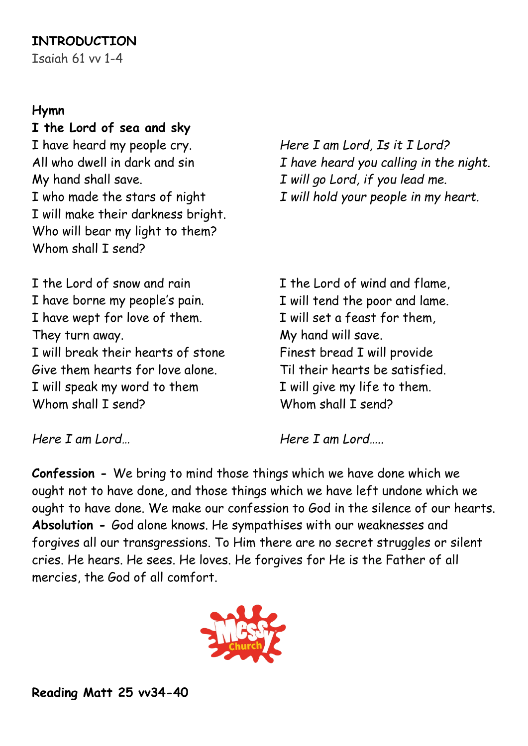## **INTRODUCTION**

Isaiah 61 vv 1-4

#### **Hymn**

#### **I the Lord of sea and sky**

I have heard my people cry. All who dwell in dark and sin My hand shall save. I who made the stars of night I will make their darkness bright. Who will bear my light to them? Whom shall I send?

I the Lord of snow and rain I have borne my people's pain. I have wept for love of them. They turn away. I will break their hearts of stone Give them hearts for love alone. I will speak my word to them Whom shall I send?

*Here I am Lord…*

*Here I am Lord, Is it I Lord? I have heard you calling in the night. I will go Lord, if you lead me. I will hold your people in my heart.*

I the Lord of wind and flame, I will tend the poor and lame. I will set a feast for them, My hand will save. Finest bread I will provide Til their hearts be satisfied. I will give my life to them. Whom shall I send?

*Here I am Lord…..*

**Confession -** We bring to mind those things which we have done which we ought not to have done, and those things which we have left undone which we ought to have done. We make our confession to God in the silence of our hearts. **Absolution -** God alone knows. He sympathises with our weaknesses and forgives all our transgressions. To Him there are no secret struggles or silent cries. He hears. He sees. He loves. He forgives for He is the Father of all mercies, the God of all comfort.

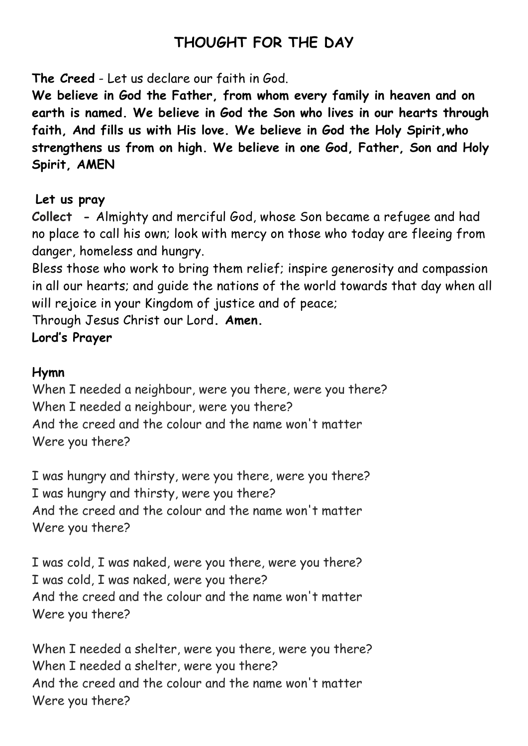# **THOUGHT FOR THE DAY**

**The Creed** - Let us declare our faith in God.

**We believe in God the Father, from whom every family in heaven and on earth is named. We believe in God the Son who lives in our hearts through faith, And fills us with His love. We believe in God the Holy Spirit,who strengthens us from on high. We believe in one God, Father, Son and Holy Spirit, AMEN** 

#### **Let us pray**

**Collect -** Almighty and merciful God, whose Son became a refugee and had no place to call his own; look with mercy on those who today are fleeing from danger, homeless and hungry.

Bless those who work to bring them relief; inspire generosity and compassion in all our hearts; and guide the nations of the world towards that day when all will rejoice in your Kingdom of justice and of peace;

Through Jesus Christ our Lord**. Amen.**

#### **Lord's Prayer**

### **Hymn**

When I needed a neighbour, were you there, were you there? When I needed a neighbour, were you there? And the creed and the colour and the name won't matter Were you there?

I was hungry and thirsty, were you there, were you there? I was hungry and thirsty, were you there? And the creed and the colour and the name won't matter Were you there?

I was cold, I was naked, were you there, were you there? I was cold, I was naked, were you there? And the creed and the colour and the name won't matter Were you there?

When I needed a shelter, were you there, were you there? When I needed a shelter, were you there? And the creed and the colour and the name won't matter Were you there?